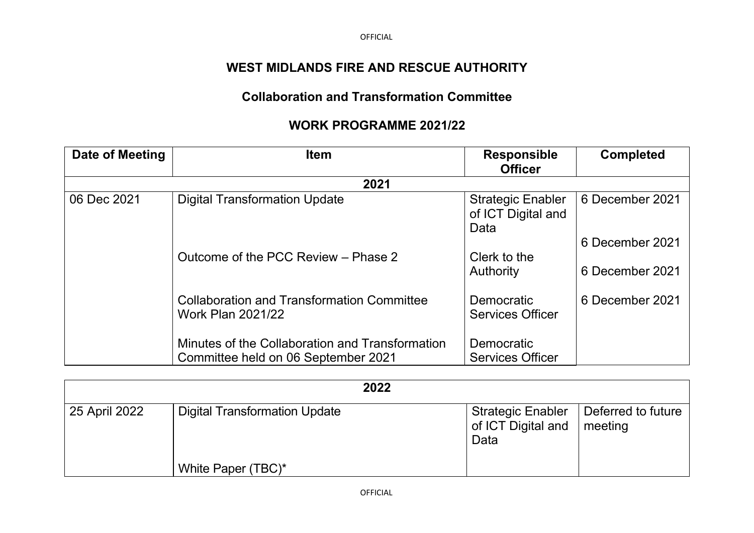OFFICIAL

## **WEST MIDLANDS FIRE AND RESCUE AUTHORITY**

## **Collaboration and Transformation Committee**

## **WORK PROGRAMME 2021/22**

| Date of Meeting | <b>Item</b>                                                                   | <b>Responsible</b><br><b>Officer</b>                   | <b>Completed</b> |  |  |
|-----------------|-------------------------------------------------------------------------------|--------------------------------------------------------|------------------|--|--|
| 2021            |                                                                               |                                                        |                  |  |  |
| 06 Dec 2021     | <b>Digital Transformation Update</b>                                          | <b>Strategic Enabler</b><br>of ICT Digital and<br>Data | 6 December 2021  |  |  |
|                 |                                                                               |                                                        | 6 December 2021  |  |  |
|                 | Outcome of the PCC Review - Phase 2                                           | Clerk to the                                           |                  |  |  |
|                 |                                                                               | Authority                                              | 6 December 2021  |  |  |
|                 | <b>Collaboration and Transformation Committee</b><br><b>Work Plan 2021/22</b> | Democratic<br><b>Services Officer</b>                  | 6 December 2021  |  |  |
|                 | Minutes of the Collaboration and Transformation                               | Democratic                                             |                  |  |  |
|                 | Committee held on 06 September 2021                                           | <b>Services Officer</b>                                |                  |  |  |

|               | 2022                                 |                                                        |                               |
|---------------|--------------------------------------|--------------------------------------------------------|-------------------------------|
| 25 April 2022 | <b>Digital Transformation Update</b> | <b>Strategic Enabler</b><br>of ICT Digital and<br>Data | Deferred to future<br>meeting |
|               | White Paper (TBC)*                   |                                                        |                               |